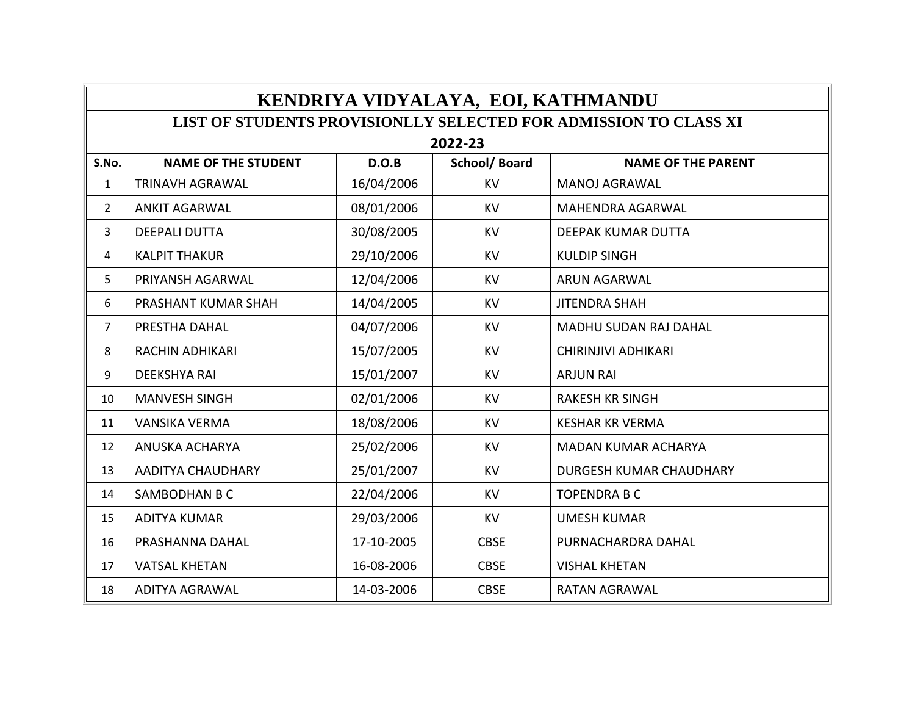| KENDRIYA VIDYALAYA, EOI, KATHMANDU                               |                            |            |                     |                              |  |
|------------------------------------------------------------------|----------------------------|------------|---------------------|------------------------------|--|
| LIST OF STUDENTS PROVISIONLLY SELECTED FOR ADMISSION TO CLASS XI |                            |            |                     |                              |  |
| 2022-23                                                          |                            |            |                     |                              |  |
| S.No.                                                            | <b>NAME OF THE STUDENT</b> | D.O.B      | <b>School/Board</b> | <b>NAME OF THE PARENT</b>    |  |
| $\mathbf{1}$                                                     | <b>TRINAVH AGRAWAL</b>     | 16/04/2006 | <b>KV</b>           | <b>MANOJ AGRAWAL</b>         |  |
| $\overline{2}$                                                   | <b>ANKIT AGARWAL</b>       | 08/01/2006 | <b>KV</b>           | <b>MAHENDRA AGARWAL</b>      |  |
| 3                                                                | <b>DEEPALI DUTTA</b>       | 30/08/2005 | <b>KV</b>           | <b>DEEPAK KUMAR DUTTA</b>    |  |
| 4                                                                | <b>KALPIT THAKUR</b>       | 29/10/2006 | <b>KV</b>           | <b>KULDIP SINGH</b>          |  |
| 5                                                                | PRIYANSH AGARWAL           | 12/04/2006 | <b>KV</b>           | <b>ARUN AGARWAL</b>          |  |
| 6                                                                | PRASHANT KUMAR SHAH        | 14/04/2005 | <b>KV</b>           | <b>JITENDRA SHAH</b>         |  |
| $\overline{7}$                                                   | PRESTHA DAHAL              | 04/07/2006 | <b>KV</b>           | <b>MADHU SUDAN RAJ DAHAL</b> |  |
| 8                                                                | <b>RACHIN ADHIKARI</b>     | 15/07/2005 | <b>KV</b>           | CHIRINJIVI ADHIKARI          |  |
| 9                                                                | <b>DEEKSHYA RAI</b>        | 15/01/2007 | <b>KV</b>           | <b>ARJUN RAI</b>             |  |
| 10                                                               | <b>MANVESH SINGH</b>       | 02/01/2006 | <b>KV</b>           | <b>RAKESH KR SINGH</b>       |  |
| 11                                                               | <b>VANSIKA VERMA</b>       | 18/08/2006 | <b>KV</b>           | <b>KESHAR KR VERMA</b>       |  |
| 12                                                               | ANUSKA ACHARYA             | 25/02/2006 | <b>KV</b>           | <b>MADAN KUMAR ACHARYA</b>   |  |
| 13                                                               | <b>AADITYA CHAUDHARY</b>   | 25/01/2007 | <b>KV</b>           | DURGESH KUMAR CHAUDHARY      |  |
| 14                                                               | SAMBODHAN B C              | 22/04/2006 | <b>KV</b>           | <b>TOPENDRA B C</b>          |  |
| 15                                                               | <b>ADITYA KUMAR</b>        | 29/03/2006 | <b>KV</b>           | <b>UMESH KUMAR</b>           |  |
| 16                                                               | PRASHANNA DAHAL            | 17-10-2005 | <b>CBSE</b>         | PURNACHARDRA DAHAL           |  |
| 17                                                               | <b>VATSAL KHETAN</b>       | 16-08-2006 | <b>CBSE</b>         | <b>VISHAL KHETAN</b>         |  |
| 18                                                               | <b>ADITYA AGRAWAL</b>      | 14-03-2006 | <b>CBSE</b>         | <b>RATAN AGRAWAL</b>         |  |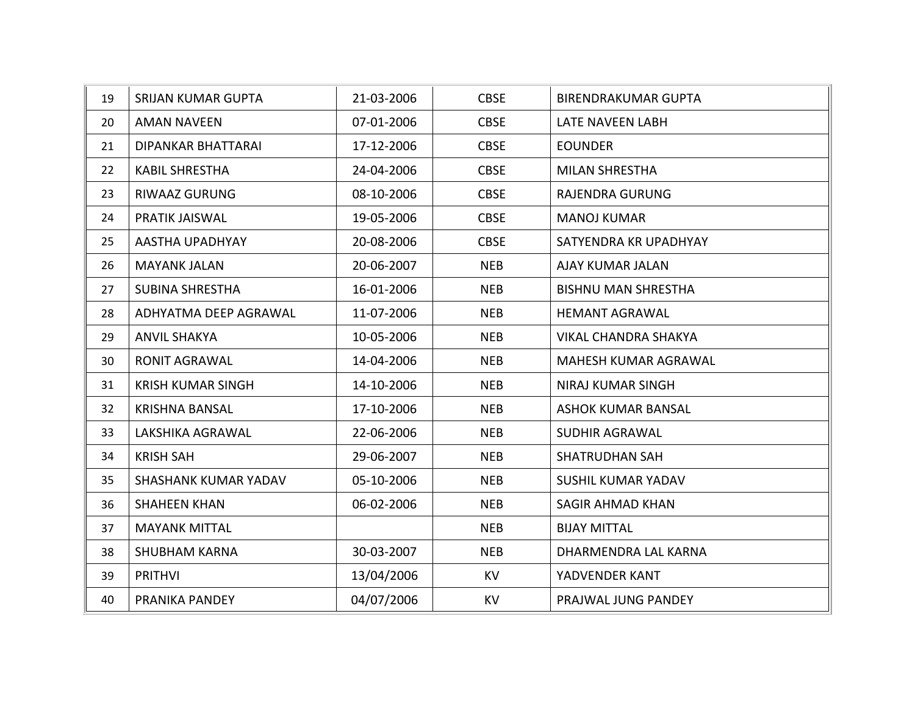| 19 | <b>SRIJAN KUMAR GUPTA</b>   | 21-03-2006 | <b>CBSE</b> | <b>BIRENDRAKUMAR GUPTA</b>  |
|----|-----------------------------|------------|-------------|-----------------------------|
| 20 | <b>AMAN NAVEEN</b>          | 07-01-2006 | <b>CBSE</b> | LATE NAVEEN LABH            |
| 21 | DIPANKAR BHATTARAI          | 17-12-2006 | <b>CBSE</b> | <b>EOUNDER</b>              |
| 22 | <b>KABIL SHRESTHA</b>       | 24-04-2006 | <b>CBSE</b> | <b>MILAN SHRESTHA</b>       |
| 23 | <b>RIWAAZ GURUNG</b>        | 08-10-2006 | <b>CBSE</b> | <b>RAJENDRA GURUNG</b>      |
| 24 | PRATIK JAISWAL              | 19-05-2006 | <b>CBSE</b> | <b>MANOJ KUMAR</b>          |
| 25 | AASTHA UPADHYAY             | 20-08-2006 | <b>CBSE</b> | SATYENDRA KR UPADHYAY       |
| 26 | <b>MAYANK JALAN</b>         | 20-06-2007 | <b>NEB</b>  | AJAY KUMAR JALAN            |
| 27 | <b>SUBINA SHRESTHA</b>      | 16-01-2006 | <b>NEB</b>  | <b>BISHNU MAN SHRESTHA</b>  |
| 28 | ADHYATMA DEEP AGRAWAL       | 11-07-2006 | <b>NEB</b>  | <b>HEMANT AGRAWAL</b>       |
| 29 | <b>ANVIL SHAKYA</b>         | 10-05-2006 | <b>NEB</b>  | <b>VIKAL CHANDRA SHAKYA</b> |
| 30 | <b>RONIT AGRAWAL</b>        | 14-04-2006 | <b>NEB</b>  | MAHESH KUMAR AGRAWAL        |
| 31 | <b>KRISH KUMAR SINGH</b>    | 14-10-2006 | <b>NEB</b>  | <b>NIRAJ KUMAR SINGH</b>    |
| 32 | <b>KRISHNA BANSAL</b>       | 17-10-2006 | <b>NEB</b>  | <b>ASHOK KUMAR BANSAL</b>   |
| 33 | LAKSHIKA AGRAWAL            | 22-06-2006 | <b>NEB</b>  | <b>SUDHIR AGRAWAL</b>       |
| 34 | <b>KRISH SAH</b>            | 29-06-2007 | <b>NEB</b>  | <b>SHATRUDHAN SAH</b>       |
| 35 | <b>SHASHANK KUMAR YADAV</b> | 05-10-2006 | <b>NEB</b>  | <b>SUSHIL KUMAR YADAV</b>   |
| 36 | <b>SHAHEEN KHAN</b>         | 06-02-2006 | <b>NEB</b>  | <b>SAGIR AHMAD KHAN</b>     |
| 37 | <b>MAYANK MITTAL</b>        |            | <b>NEB</b>  | <b>BIJAY MITTAL</b>         |
| 38 | <b>SHUBHAM KARNA</b>        | 30-03-2007 | <b>NEB</b>  | DHARMENDRA LAL KARNA        |
| 39 | <b>PRITHVI</b>              | 13/04/2006 | <b>KV</b>   | YADVENDER KANT              |
| 40 | PRANIKA PANDEY              | 04/07/2006 | <b>KV</b>   | PRAJWAL JUNG PANDEY         |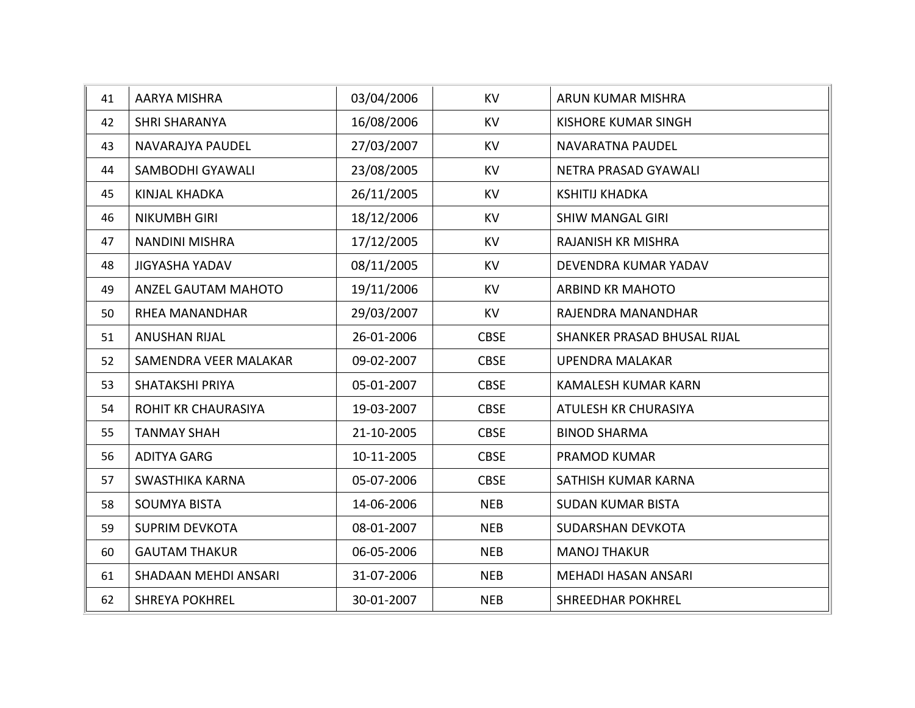| 41 | <b>AARYA MISHRA</b>        | 03/04/2006 | <b>KV</b>   | ARUN KUMAR MISHRA           |
|----|----------------------------|------------|-------------|-----------------------------|
| 42 | <b>SHRI SHARANYA</b>       | 16/08/2006 | <b>KV</b>   | <b>KISHORE KUMAR SINGH</b>  |
| 43 | NAVARAJYA PAUDEL           | 27/03/2007 | <b>KV</b>   | NAVARATNA PAUDEL            |
| 44 | <b>SAMBODHI GYAWALI</b>    | 23/08/2005 | <b>KV</b>   | NETRA PRASAD GYAWALI        |
| 45 | <b>KINJAL KHADKA</b>       | 26/11/2005 | <b>KV</b>   | <b>KSHITIJ KHADKA</b>       |
| 46 | <b>NIKUMBH GIRI</b>        | 18/12/2006 | <b>KV</b>   | <b>SHIW MANGAL GIRI</b>     |
| 47 | <b>NANDINI MISHRA</b>      | 17/12/2005 | <b>KV</b>   | <b>RAJANISH KR MISHRA</b>   |
| 48 | <b>JIGYASHA YADAV</b>      | 08/11/2005 | <b>KV</b>   | DEVENDRA KUMAR YADAV        |
| 49 | ANZEL GAUTAM MAHOTO        | 19/11/2006 | <b>KV</b>   | <b>ARBIND KR MAHOTO</b>     |
| 50 | <b>RHEA MANANDHAR</b>      | 29/03/2007 | <b>KV</b>   | RAJENDRA MANANDHAR          |
| 51 | <b>ANUSHAN RIJAL</b>       | 26-01-2006 | <b>CBSE</b> | SHANKER PRASAD BHUSAL RIJAL |
| 52 | SAMENDRA VEER MALAKAR      | 09-02-2007 | <b>CBSE</b> | <b>UPENDRA MALAKAR</b>      |
| 53 | <b>SHATAKSHI PRIYA</b>     | 05-01-2007 | <b>CBSE</b> | <b>KAMALESH KUMAR KARN</b>  |
| 54 | <b>ROHIT KR CHAURASIYA</b> | 19-03-2007 | <b>CBSE</b> | ATULESH KR CHURASIYA        |
| 55 | <b>TANMAY SHAH</b>         | 21-10-2005 | <b>CBSE</b> | <b>BINOD SHARMA</b>         |
| 56 | <b>ADITYA GARG</b>         | 10-11-2005 | <b>CBSE</b> | PRAMOD KUMAR                |
| 57 | <b>SWASTHIKA KARNA</b>     | 05-07-2006 | <b>CBSE</b> | SATHISH KUMAR KARNA         |
| 58 | <b>SOUMYA BISTA</b>        | 14-06-2006 | <b>NEB</b>  | <b>SUDAN KUMAR BISTA</b>    |
| 59 | <b>SUPRIM DEVKOTA</b>      | 08-01-2007 | <b>NEB</b>  | SUDARSHAN DEVKOTA           |
| 60 | <b>GAUTAM THAKUR</b>       | 06-05-2006 | <b>NEB</b>  | <b>MANOJ THAKUR</b>         |
| 61 | SHADAAN MEHDI ANSARI       | 31-07-2006 | <b>NEB</b>  | <b>MEHADI HASAN ANSARI</b>  |
| 62 | <b>SHREYA POKHREL</b>      | 30-01-2007 | <b>NEB</b>  | <b>SHREEDHAR POKHREL</b>    |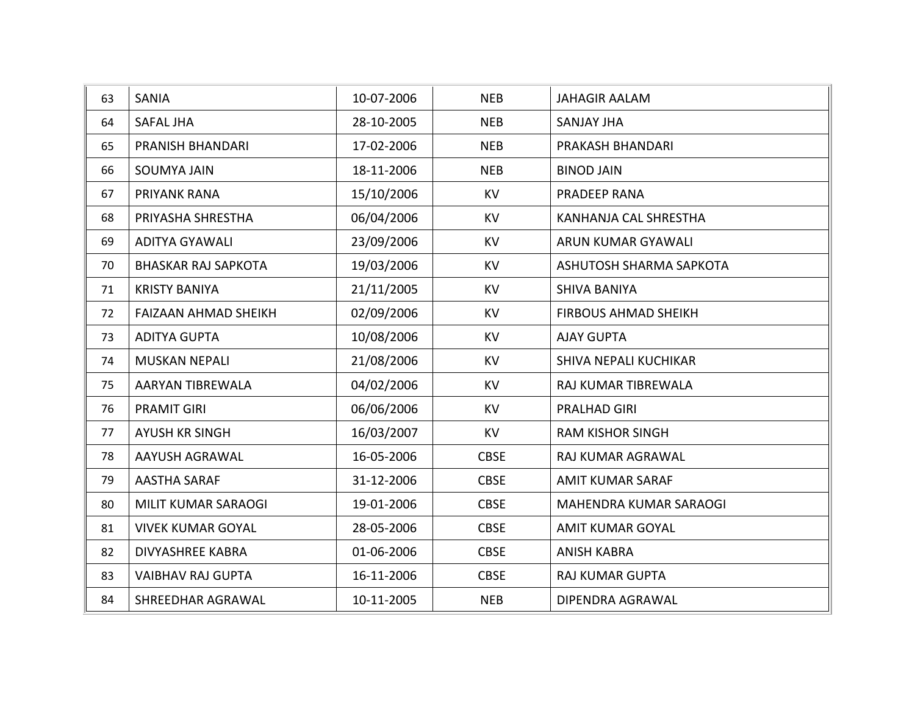| 63 | <b>SANIA</b>                | 10-07-2006 | <b>NEB</b>  | <b>JAHAGIR AALAM</b>        |
|----|-----------------------------|------------|-------------|-----------------------------|
| 64 | SAFAL JHA                   | 28-10-2005 | <b>NEB</b>  | <b>SANJAY JHA</b>           |
| 65 | PRANISH BHANDARI            | 17-02-2006 | <b>NEB</b>  | PRAKASH BHANDARI            |
| 66 | <b>SOUMYA JAIN</b>          | 18-11-2006 | <b>NEB</b>  | <b>BINOD JAIN</b>           |
| 67 | PRIYANK RANA                | 15/10/2006 | <b>KV</b>   | PRADEEP RANA                |
| 68 | PRIYASHA SHRESTHA           | 06/04/2006 | <b>KV</b>   | KANHANJA CAL SHRESTHA       |
| 69 | <b>ADITYA GYAWALI</b>       | 23/09/2006 | <b>KV</b>   | ARUN KUMAR GYAWALI          |
| 70 | <b>BHASKAR RAJ SAPKOTA</b>  | 19/03/2006 | <b>KV</b>   | ASHUTOSH SHARMA SAPKOTA     |
| 71 | <b>KRISTY BANIYA</b>        | 21/11/2005 | <b>KV</b>   | <b>SHIVA BANIYA</b>         |
| 72 | <b>FAIZAAN AHMAD SHEIKH</b> | 02/09/2006 | <b>KV</b>   | <b>FIRBOUS AHMAD SHEIKH</b> |
| 73 | <b>ADITYA GUPTA</b>         | 10/08/2006 | <b>KV</b>   | <b>AJAY GUPTA</b>           |
| 74 | <b>MUSKAN NEPALI</b>        | 21/08/2006 | <b>KV</b>   | SHIVA NEPALI KUCHIKAR       |
| 75 | <b>AARYAN TIBREWALA</b>     | 04/02/2006 | <b>KV</b>   | RAJ KUMAR TIBREWALA         |
| 76 | <b>PRAMIT GIRI</b>          | 06/06/2006 | <b>KV</b>   | PRALHAD GIRI                |
| 77 | <b>AYUSH KR SINGH</b>       | 16/03/2007 | <b>KV</b>   | <b>RAM KISHOR SINGH</b>     |
| 78 | AAYUSH AGRAWAL              | 16-05-2006 | <b>CBSE</b> | RAJ KUMAR AGRAWAL           |
| 79 | <b>AASTHA SARAF</b>         | 31-12-2006 | <b>CBSE</b> | <b>AMIT KUMAR SARAF</b>     |
| 80 | MILIT KUMAR SARAOGI         | 19-01-2006 | <b>CBSE</b> | MAHENDRA KUMAR SARAOGI      |
| 81 | <b>VIVEK KUMAR GOYAL</b>    | 28-05-2006 | <b>CBSE</b> | <b>AMIT KUMAR GOYAL</b>     |
| 82 | <b>DIVYASHREE KABRA</b>     | 01-06-2006 | <b>CBSE</b> | <b>ANISH KABRA</b>          |
| 83 | <b>VAIBHAV RAJ GUPTA</b>    | 16-11-2006 | <b>CBSE</b> | <b>RAJ KUMAR GUPTA</b>      |
| 84 | SHREEDHAR AGRAWAL           | 10-11-2005 | <b>NEB</b>  | DIPENDRA AGRAWAL            |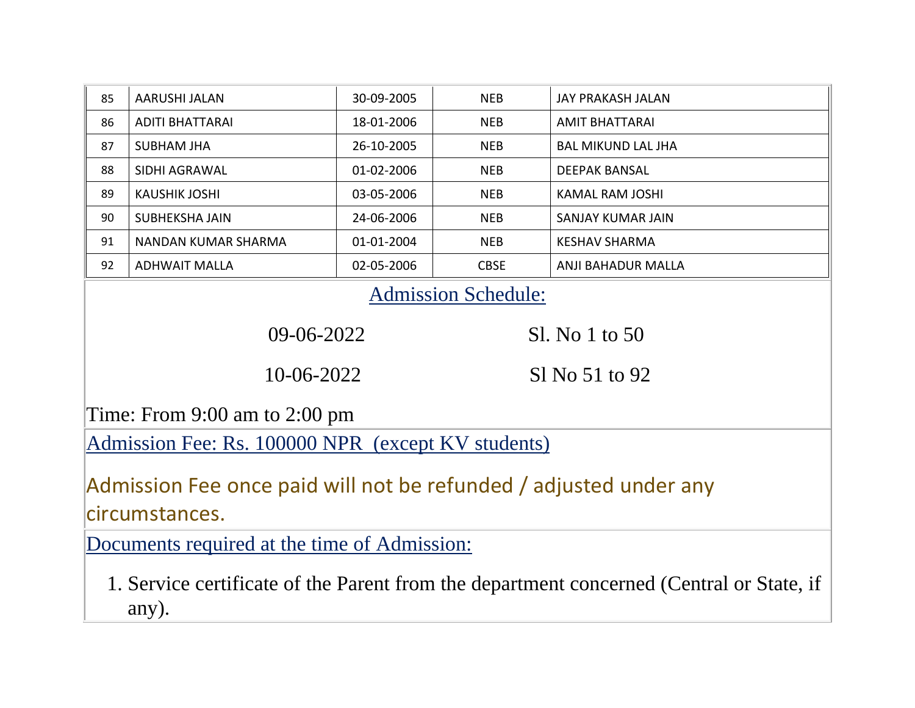| 85                                                                                                | <b>AARUSHI JALAN</b>       | 30-09-2005 | <b>NEB</b>     | <b>JAY PRAKASH JALAN</b>  |  |
|---------------------------------------------------------------------------------------------------|----------------------------|------------|----------------|---------------------------|--|
| 86                                                                                                | <b>ADITI BHATTARAI</b>     | 18-01-2006 | <b>NEB</b>     | <b>AMIT BHATTARAI</b>     |  |
| 87                                                                                                | <b>SUBHAM JHA</b>          | 26-10-2005 | <b>NEB</b>     | <b>BAL MIKUND LAL JHA</b> |  |
| 88                                                                                                | SIDHI AGRAWAL              | 01-02-2006 | <b>NEB</b>     | <b>DEEPAK BANSAL</b>      |  |
| 89                                                                                                | <b>KAUSHIK JOSHI</b>       | 03-05-2006 | <b>NEB</b>     | <b>KAMAL RAM JOSHI</b>    |  |
| 90                                                                                                | SUBHEKSHA JAIN             | 24-06-2006 | <b>NEB</b>     | <b>SANJAY KUMAR JAIN</b>  |  |
| 91                                                                                                | <b>NANDAN KUMAR SHARMA</b> | 01-01-2004 | <b>NEB</b>     | <b>KESHAV SHARMA</b>      |  |
| 92                                                                                                | <b>ADHWAIT MALLA</b>       | 02-05-2006 | <b>CBSE</b>    | ANJI BAHADUR MALLA        |  |
| <b>Admission Schedule:</b>                                                                        |                            |            |                |                           |  |
| 09-06-2022<br>Sl. No 1 to 50                                                                      |                            |            |                |                           |  |
|                                                                                                   | 10-06-2022                 |            | S1 No 51 to 92 |                           |  |
| Time: From $9:00$ am to $2:00$ pm                                                                 |                            |            |                |                           |  |
| Admission Fee: Rs. 100000 NPR (except KV students)                                                |                            |            |                |                           |  |
| Admission Fee once paid will not be refunded / adjusted under any<br>circumstances.               |                            |            |                |                           |  |
| Documents required at the time of Admission:                                                      |                            |            |                |                           |  |
| 1. Service certificate of the Parent from the department concerned (Central or State, if<br>any). |                            |            |                |                           |  |